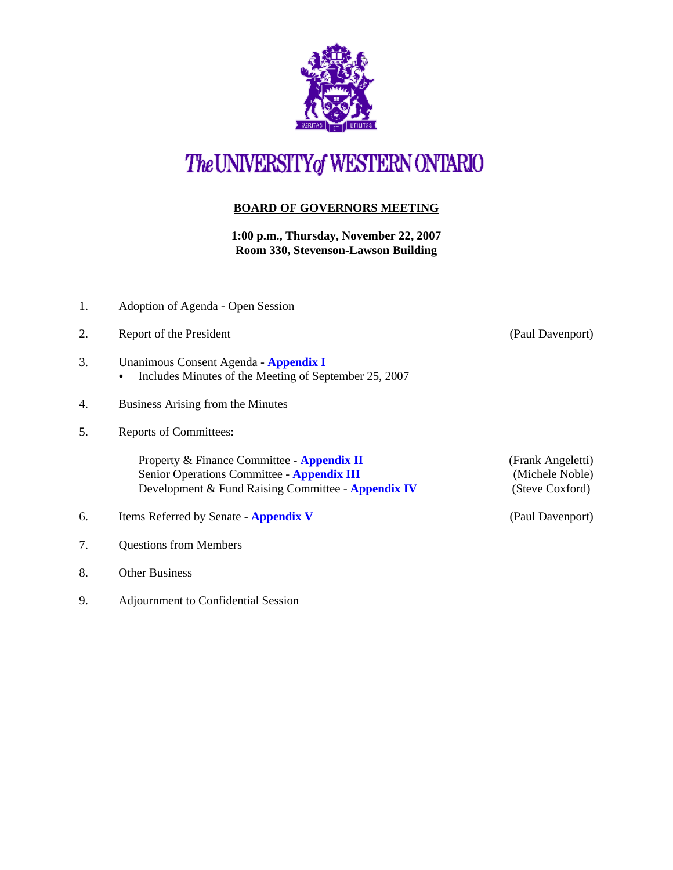

## The UNIVERSITY of WESTERN ONTARIO

## **BOARD OF GOVERNORS MEETING**

**1:00 p.m., Thursday, November 22, 2007 Room 330, Stevenson-Lawson Building**

| 1. | Adoption of Agenda - Open Session                                                                                                                     |                                                         |
|----|-------------------------------------------------------------------------------------------------------------------------------------------------------|---------------------------------------------------------|
| 2. | Report of the President                                                                                                                               | (Paul Davenport)                                        |
| 3. | Unanimous Consent Agenda - Appendix I<br>Includes Minutes of the Meeting of September 25, 2007<br>$\bullet$                                           |                                                         |
| 4. | Business Arising from the Minutes                                                                                                                     |                                                         |
| 5. | <b>Reports of Committees:</b>                                                                                                                         |                                                         |
|    | Property & Finance Committee - Appendix II<br>Senior Operations Committee - <b>Appendix III</b><br>Development & Fund Raising Committee - Appendix IV | (Frank Angeletti)<br>(Michele Noble)<br>(Steve Coxford) |
| 6. | Items Referred by Senate - Appendix V                                                                                                                 | (Paul Davenport)                                        |
| 7. | <b>Questions from Members</b>                                                                                                                         |                                                         |
| 8. | <b>Other Business</b>                                                                                                                                 |                                                         |

9. Adjournment to Confidential Session